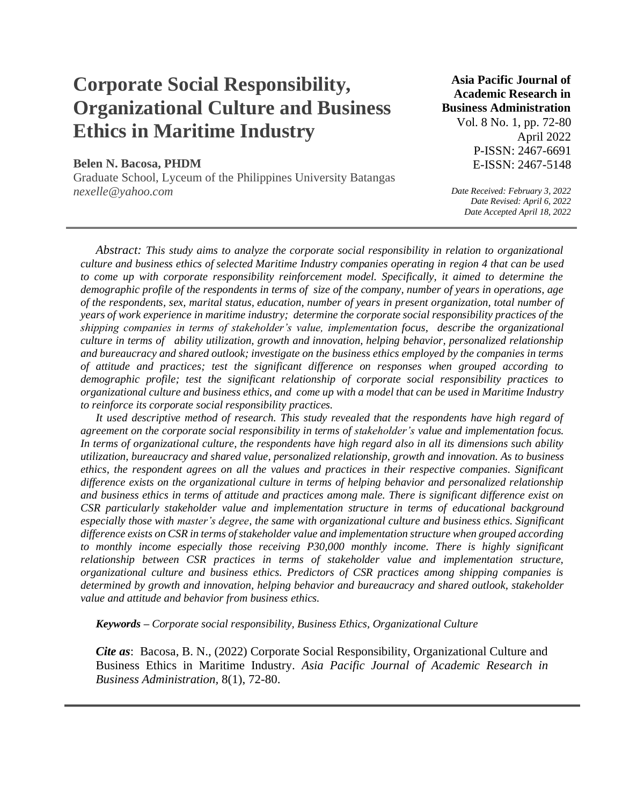# **Corporate Social Responsibility, Organizational Culture and Business Ethics in Maritime Industry**

## **Belen N. Bacosa, PHDM**

Graduate School, Lyceum of the Philippines University Batangas *nexelle@yahoo.com*

# **Asia Pacific Journal of Academic Research in Business Administration**

Vol. 8 No. 1, pp. 72-80 April 2022 P-ISSN: 2467-6691 E-ISSN: 2467-5148

*Date Received: February 3, 2022 Date Revised: April 6, 2022 Date Accepted April 18, 2022*

*Abstract: This study aims to analyze the corporate social responsibility in relation to organizational culture and business ethics of selected Maritime Industry companies operating in region 4 that can be used to come up with corporate responsibility reinforcement model. Specifically, it aimed to determine the demographic profile of the respondents in terms of size of the company, number of years in operations, age of the respondents, sex, marital status, education, number of years in present organization, total number of years of work experience in maritime industry; determine the corporate social responsibility practices of the shipping companies in terms of stakeholder's value, implementation focus, describe the organizational culture in terms of ability utilization, growth and innovation, helping behavior, personalized relationship and bureaucracy and shared outlook; investigate on the business ethics employed by the companies in terms of attitude and practices; test the significant difference on responses when grouped according to demographic profile; test the significant relationship of corporate social responsibility practices to organizational culture and business ethics, and come up with a model that can be used in Maritime Industry to reinforce its corporate social responsibility practices.* 

It used descriptive method of research. This study revealed that the respondents have high regard of *agreement on the corporate social responsibility in terms of stakeholder's value and implementation focus. In terms of organizational culture, the respondents have high regard also in all its dimensions such ability utilization, bureaucracy and shared value, personalized relationship, growth and innovation. As to business ethics, the respondent agrees on all the values and practices in their respective companies. Significant difference exists on the organizational culture in terms of helping behavior and personalized relationship and business ethics in terms of attitude and practices among male. There is significant difference exist on CSR particularly stakeholder value and implementation structure in terms of educational background especially those with master's degree, the same with organizational culture and business ethics. Significant difference exists on CSR in terms of stakeholder value and implementation structure when grouped according to monthly income especially those receiving P30,000 monthly income. There is highly significant relationship between CSR practices in terms of stakeholder value and implementation structure, organizational culture and business ethics. Predictors of CSR practices among shipping companies is determined by growth and innovation, helping behavior and bureaucracy and shared outlook, stakeholder value and attitude and behavior from business ethics.*

*Keywords – Corporate social responsibility, Business Ethics, Organizational Culture*

*Cite as*: Bacosa, B. N., (2022) Corporate Social Responsibility, Organizational Culture and Business Ethics in Maritime Industry. *Asia Pacific Journal of Academic Research in Business Administration,* 8(1), 72-80.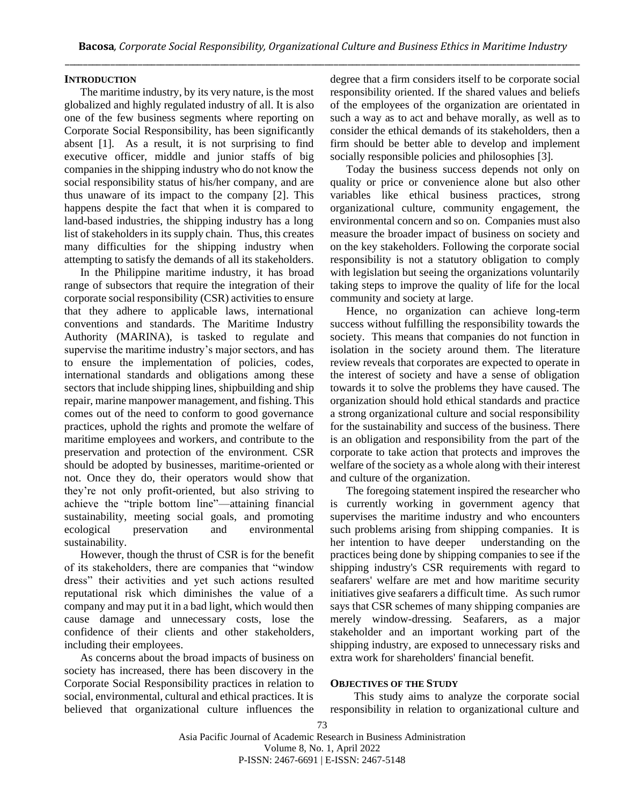## **INTRODUCTION**

The maritime industry, by its very nature, is the most globalized and highly regulated industry of all. It is also one of the few business segments where reporting on Corporate Social Responsibility, has been significantly absent [1]. As a result, it is not surprising to find executive officer, middle and junior staffs of big companies in the shipping industry who do not know the social responsibility status of his/her company, and are thus unaware of its impact to the company [2]. This happens despite the fact that when it is compared to land-based industries, the shipping industry has a long list of stakeholders in its supply chain. Thus, this creates many difficulties for the shipping industry when attempting to satisfy the demands of all its stakeholders.

In the Philippine maritime industry, it has broad range of subsectors that require the integration of their corporate social responsibility (CSR) activities to ensure that they adhere to applicable laws, international conventions and standards. The Maritime Industry Authority (MARINA), is tasked to regulate and supervise the maritime industry's major sectors, and has to ensure the implementation of policies, codes, international standards and obligations among these sectors that include shipping lines, shipbuilding and ship repair, marine manpower management, and fishing. This comes out of the need to conform to good governance practices, uphold the rights and promote the welfare of maritime employees and workers, and contribute to the preservation and protection of the environment. CSR should be adopted by businesses, maritime-oriented or not. Once they do, their operators would show that they're not only profit-oriented, but also striving to achieve the "triple bottom line"—attaining financial sustainability, meeting social goals, and promoting ecological preservation and environmental sustainability.

However, though the thrust of CSR is for the benefit of its stakeholders, there are companies that "window dress" their activities and yet such actions resulted reputational risk which diminishes the value of a company and may put it in a bad light, which would then cause damage and unnecessary costs, lose the confidence of their clients and other stakeholders, including their employees.

As concerns about the broad impacts of business on society has increased, there has been discovery in the Corporate Social Responsibility practices in relation to social, environmental, cultural and ethical practices. It is believed that organizational culture influences the degree that a firm considers itself to be corporate social responsibility oriented. If the shared values and beliefs of the employees of the organization are orientated in such a way as to act and behave morally, as well as to consider the ethical demands of its stakeholders, then a firm should be better able to develop and implement socially responsible policies and philosophies [3].

Today the business success depends not only on quality or price or convenience alone but also other variables like ethical business practices, strong organizational culture, community engagement, the environmental concern and so on. Companies must also measure the broader impact of business on society and on the key stakeholders. Following the corporate social responsibility is not a statutory obligation to comply with legislation but seeing the organizations voluntarily taking steps to improve the quality of life for the local community and society at large.

Hence, no organization can achieve long-term success without fulfilling the responsibility towards the society. This means that companies do not function in isolation in the society around them. The literature review reveals that corporates are expected to operate in the interest of society and have a sense of obligation towards it to solve the problems they have caused. The organization should hold ethical standards and practice a strong organizational culture and social responsibility for the sustainability and success of the business. There is an obligation and responsibility from the part of the corporate to take action that protects and improves the welfare of the society as a whole along with their interest and culture of the organization.

The foregoing statement inspired the researcher who is currently working in government agency that supervises the maritime industry and who encounters such problems arising from shipping companies. It is her intention to have deeper understanding on the practices being done by shipping companies to see if the shipping industry's CSR requirements with regard to seafarers' welfare are met and how maritime security initiatives give seafarers a difficult time. As such rumor says that CSR schemes of many shipping companies are merely window-dressing. Seafarers, as a major stakeholder and an important working part of the shipping industry, are exposed to unnecessary risks and extra work for shareholders' financial benefit.

## **OBJECTIVES OF THE STUDY**

This study aims to analyze the corporate social responsibility in relation to organizational culture and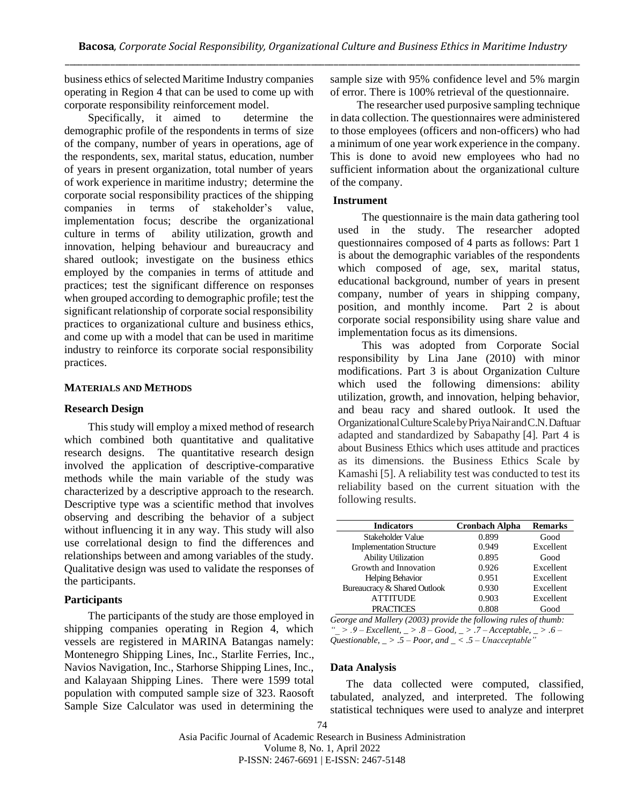business ethics of selected Maritime Industry companies operating in Region 4 that can be used to come up with corporate responsibility reinforcement model.

Specifically, it aimed to determine the demographic profile of the respondents in terms of size of the company, number of years in operations, age of the respondents, sex, marital status, education, number of years in present organization, total number of years of work experience in maritime industry; determine the corporate social responsibility practices of the shipping companies in terms of stakeholder's value, implementation focus; describe the organizational culture in terms of ability utilization, growth and innovation, helping behaviour and bureaucracy and shared outlook; investigate on the business ethics employed by the companies in terms of attitude and practices; test the significant difference on responses when grouped according to demographic profile; test the significant relationship of corporate social responsibility practices to organizational culture and business ethics, and come up with a model that can be used in maritime industry to reinforce its corporate social responsibility practices.

## **MATERIALS AND METHODS**

#### **Research Design**

This study will employ a mixed method of research which combined both quantitative and qualitative research designs. The quantitative research design involved the application of descriptive-comparative methods while the main variable of the study was characterized by a descriptive approach to the research. Descriptive type was a scientific method that involves observing and describing the behavior of a subject without influencing it in any way. This study will also use correlational design to find the differences and relationships between and among variables of the study. Qualitative design was used to validate the responses of the participants.

#### **Participants**

The participants of the study are those employed in shipping companies operating in Region 4, which vessels are registered in MARINA Batangas namely: Montenegro Shipping Lines, Inc., Starlite Ferries, Inc., Navios Navigation, Inc., Starhorse Shipping Lines, Inc., and Kalayaan Shipping Lines. There were 1599 total population with computed sample size of 323. Raosoft Sample Size Calculator was used in determining the

sample size with 95% confidence level and 5% margin of error. There is 100% retrieval of the questionnaire.

The researcher used purposive sampling technique in data collection. The questionnaires were administered to those employees (officers and non-officers) who had a minimum of one year work experience in the company. This is done to avoid new employees who had no sufficient information about the organizational culture of the company.

#### **Instrument**

The questionnaire is the main data gathering tool used in the study. The researcher adopted questionnaires composed of 4 parts as follows: Part 1 is about the demographic variables of the respondents which composed of age, sex, marital status, educational background, number of years in present company, number of years in shipping company, position, and monthly income. Part 2 is about corporate social responsibility using share value and implementation focus as its dimensions.

This was adopted from Corporate Social responsibility by Lina Jane (2010) with minor modifications. Part 3 is about Organization Culture which used the following dimensions: ability utilization, growth, and innovation, helping behavior, and beau racy and shared outlook. It used the OrganizationalCultureScalebyPriyaNairandC.N.Daftuar adapted and standardized by Sabapathy [4]. Part 4 is about Business Ethics which uses attitude and practices as its dimensions. the Business Ethics Scale by Kamashi [5]. A reliability test was conducted to test its reliability based on the current situation with the following results.

| <b>Indicators</b>               | <b>Cronbach Alpha</b> | <b>Remarks</b> |
|---------------------------------|-----------------------|----------------|
| Stakeholder Value               | 0.899                 | Good           |
| <b>Implementation Structure</b> | 0.949                 | Excellent      |
| <b>Ability Utilization</b>      | 0.895                 | Good           |
| Growth and Innovation           | 0.926                 | Excellent      |
| <b>Helping Behavior</b>         | 0.951                 | Excellent      |
| Bureaucracy & Shared Outlook    | 0.930                 | Excellent      |
| <b>ATTITUDE</b>                 | 0.903                 | Excellent      |
| <b>PRACTICES</b>                | 0.808                 | Good           |

*George and Mallery (2003) provide the following rules of thumb: "\_ > .9 – Excellent, \_ > .8 – Good, \_ > .7 – Acceptable, \_ > .6 – Questionable, \_ > .5 – Poor, and \_ < .5 – Unacceptable"*

#### **Data Analysis**

The data collected were computed, classified, tabulated, analyzed, and interpreted. The following statistical techniques were used to analyze and interpret

Asia Pacific Journal of Academic Research in Business Administration Volume 8, No. 1, April 2022 P-ISSN: 2467-6691 | E-ISSN: 2467-5148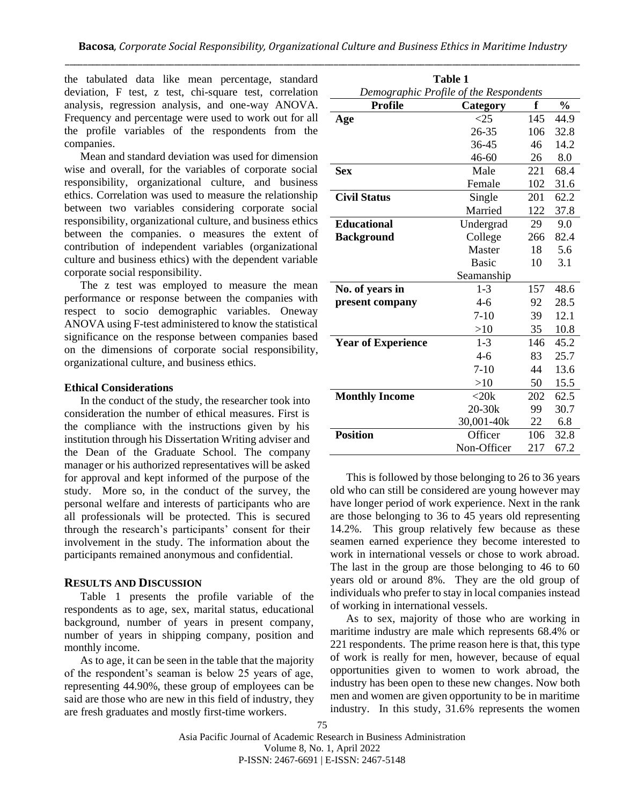the tabulated data like mean percentage, standard deviation, F test, z test, chi-square test, correlation analysis, regression analysis, and one-way ANOVA. Frequency and percentage were used to work out for all the profile variables of the respondents from the companies.

Mean and standard deviation was used for dimension wise and overall, for the variables of corporate social responsibility, organizational culture, and business ethics. Correlation was used to measure the relationship between two variables considering corporate social responsibility, organizational culture, and business ethics between the companies. o measures the extent of contribution of independent variables (organizational culture and business ethics) with the dependent variable corporate social responsibility.

The z test was employed to measure the mean performance or response between the companies with respect to socio demographic variables. Oneway ANOVA using F-test administered to know the statistical significance on the response between companies based on the dimensions of corporate social responsibility, organizational culture, and business ethics.

## **Ethical Considerations**

In the conduct of the study, the researcher took into consideration the number of ethical measures. First is the compliance with the instructions given by his institution through his Dissertation Writing adviser and the Dean of the Graduate School. The company manager or his authorized representatives will be asked for approval and kept informed of the purpose of the study. More so, in the conduct of the survey, the personal welfare and interests of participants who are all professionals will be protected. This is secured through the research's participants' consent for their involvement in the study. The information about the participants remained anonymous and confidential.

## **RESULTS AND DISCUSSION**

Table 1 presents the profile variable of the respondents as to age, sex, marital status, educational background, number of years in present company, number of years in shipping company, position and monthly income.

As to age, it can be seen in the table that the majority of the respondent's seaman is below 25 years of age, representing 44.90%, these group of employees can be said are those who are new in this field of industry, they are fresh graduates and mostly first-time workers.

| Table 1                                          |                   |      |      |  |  |  |
|--------------------------------------------------|-------------------|------|------|--|--|--|
| Demographic Profile of the Respondents           |                   |      |      |  |  |  |
| <b>Profile</b><br>f<br>$\frac{0}{0}$<br>Category |                   |      |      |  |  |  |
| Age                                              | $<$ 25            | 145  | 44.9 |  |  |  |
|                                                  | 26-35             | 106  | 32.8 |  |  |  |
|                                                  | 36-45             | 46   | 14.2 |  |  |  |
|                                                  | $46 - 60$         | 26   | 8.0  |  |  |  |
| <b>Sex</b>                                       | Male              | 221  | 68.4 |  |  |  |
|                                                  | Female            | 102  | 31.6 |  |  |  |
| <b>Civil Status</b>                              | Single            | 201  | 62.2 |  |  |  |
|                                                  | Married           | 122  | 37.8 |  |  |  |
| <b>Educational</b>                               | Undergrad         | 29   | 9.0  |  |  |  |
| <b>Background</b>                                | College           | 266  | 82.4 |  |  |  |
|                                                  | Master            | 18   | 5.6  |  |  |  |
|                                                  | <b>Basic</b>      | 10   | 3.1  |  |  |  |
|                                                  | Seamanship        |      |      |  |  |  |
| No. of years in                                  | 157               | 48.6 |      |  |  |  |
| present company                                  | $4-6$             | 92   | 28.5 |  |  |  |
|                                                  | $7-10$            | 39   | 12.1 |  |  |  |
|                                                  | >10               | 35   | 10.8 |  |  |  |
| <b>Year of Experience</b>                        | $1 - 3$           | 146  | 45.2 |  |  |  |
|                                                  | $4 - 6$           | 83   | 25.7 |  |  |  |
|                                                  | $7 - 10$          | 44   | 13.6 |  |  |  |
|                                                  | >10               | 50   | 15.5 |  |  |  |
| <b>Monthly Income</b>                            | $<$ 20 $k$<br>202 |      | 62.5 |  |  |  |
|                                                  | $20 - 30k$        | 99   | 30.7 |  |  |  |
|                                                  | 30,001-40k        | 22   | 6.8  |  |  |  |
| <b>Position</b>                                  | Officer           | 106  | 32.8 |  |  |  |
| Non-Officer<br>217<br>67.2                       |                   |      |      |  |  |  |

This is followed by those belonging to 26 to 36 years old who can still be considered are young however may have longer period of work experience. Next in the rank are those belonging to 36 to 45 years old representing 14.2%. This group relatively few because as these seamen earned experience they become interested to work in international vessels or chose to work abroad. The last in the group are those belonging to 46 to 60 years old or around 8%. They are the old group of individuals who prefer to stay in local companies instead of working in international vessels.

As to sex, majority of those who are working in maritime industry are male which represents 68.4% or 221 respondents. The prime reason here is that, this type of work is really for men, however, because of equal opportunities given to women to work abroad, the industry has been open to these new changes. Now both men and women are given opportunity to be in maritime industry. In this study, 31.6% represents the women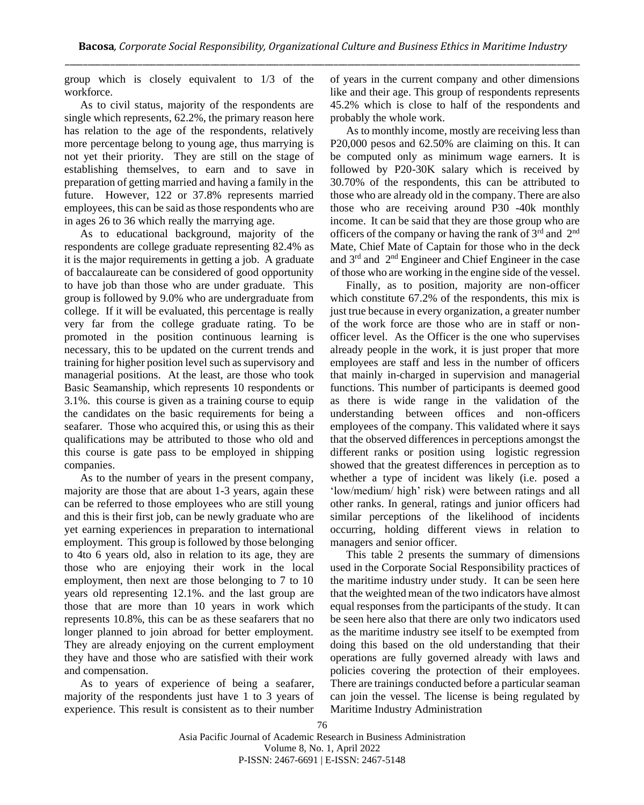group which is closely equivalent to 1/3 of the workforce.

As to civil status, majority of the respondents are single which represents, 62.2%, the primary reason here has relation to the age of the respondents, relatively more percentage belong to young age, thus marrying is not yet their priority. They are still on the stage of establishing themselves, to earn and to save in preparation of getting married and having a family in the future. However, 122 or 37.8% represents married employees, this can be said as those respondents who are in ages 26 to 36 which really the marrying age.

As to educational background, majority of the respondents are college graduate representing 82.4% as it is the major requirements in getting a job. A graduate of baccalaureate can be considered of good opportunity to have job than those who are under graduate. This group is followed by 9.0% who are undergraduate from college. If it will be evaluated, this percentage is really very far from the college graduate rating. To be promoted in the position continuous learning is necessary, this to be updated on the current trends and training for higher position level such as supervisory and managerial positions. At the least, are those who took Basic Seamanship, which represents 10 respondents or 3.1%. this course is given as a training course to equip the candidates on the basic requirements for being a seafarer. Those who acquired this, or using this as their qualifications may be attributed to those who old and this course is gate pass to be employed in shipping companies.

As to the number of years in the present company, majority are those that are about 1-3 years, again these can be referred to those employees who are still young and this is their first job, can be newly graduate who are yet earning experiences in preparation to international employment. This group is followed by those belonging to 4to 6 years old, also in relation to its age, they are those who are enjoying their work in the local employment, then next are those belonging to 7 to 10 years old representing 12.1%. and the last group are those that are more than 10 years in work which represents 10.8%, this can be as these seafarers that no longer planned to join abroad for better employment. They are already enjoying on the current employment they have and those who are satisfied with their work and compensation.

As to years of experience of being a seafarer, majority of the respondents just have 1 to 3 years of experience. This result is consistent as to their number

of years in the current company and other dimensions like and their age. This group of respondents represents 45.2% which is close to half of the respondents and probably the whole work.

As to monthly income, mostly are receiving less than P20,000 pesos and 62.50% are claiming on this. It can be computed only as minimum wage earners. It is followed by P20-30K salary which is received by 30.70% of the respondents, this can be attributed to those who are already old in the company. There are also those who are receiving around P30 -40k monthly income. It can be said that they are those group who are officers of the company or having the rank of 3<sup>rd</sup> and 2<sup>nd</sup> Mate, Chief Mate of Captain for those who in the deck and  $3<sup>rd</sup>$  and  $2<sup>nd</sup>$  Engineer and Chief Engineer in the case of those who are working in the engine side of the vessel.

Finally, as to position, majority are non-officer which constitute 67.2% of the respondents, this mix is just true because in every organization, a greater number of the work force are those who are in staff or nonofficer level. As the Officer is the one who supervises already people in the work, it is just proper that more employees are staff and less in the number of officers that mainly in-charged in supervision and managerial functions. This number of participants is deemed good as there is wide range in the validation of the understanding between offices and non-officers employees of the company. This validated where it says that the observed differences in perceptions amongst the different ranks or position using logistic regression showed that the greatest differences in perception as to whether a type of incident was likely (i.e. posed a 'low/medium/ high' risk) were between ratings and all other ranks. In general, ratings and junior officers had similar perceptions of the likelihood of incidents occurring, holding different views in relation to managers and senior officer.

This table 2 presents the summary of dimensions used in the Corporate Social Responsibility practices of the maritime industry under study. It can be seen here that the weighted mean of the two indicators have almost equal responses from the participants of the study. It can be seen here also that there are only two indicators used as the maritime industry see itself to be exempted from doing this based on the old understanding that their operations are fully governed already with laws and policies covering the protection of their employees. There are trainings conducted before a particular seaman can join the vessel. The license is being regulated by Maritime Industry Administration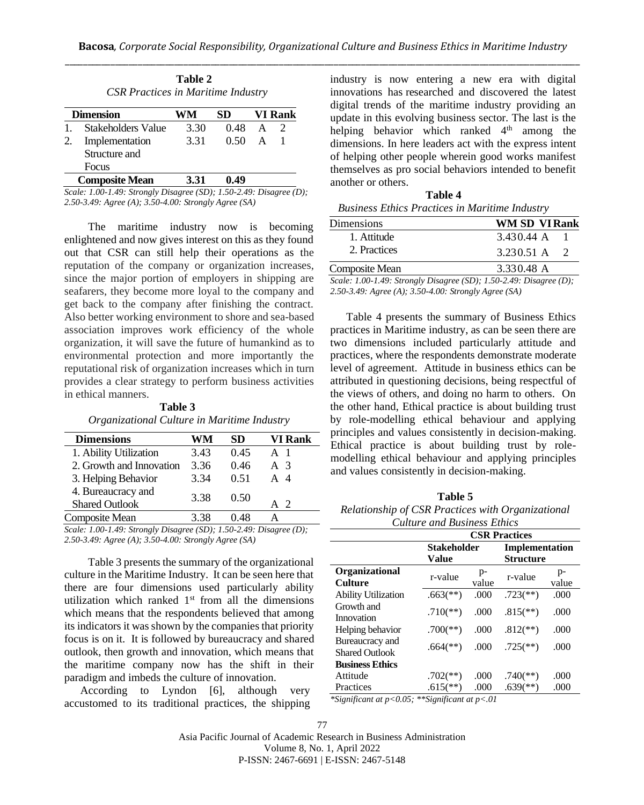| Table 2<br><b>CSR Practices in Maritime Industry</b> |                       |      |      |              |                             |
|------------------------------------------------------|-----------------------|------|------|--------------|-----------------------------|
|                                                      | <b>Dimension</b>      | WM   | SD   |              | <b>VI Rank</b>              |
|                                                      | Stakeholders Value    | 3.30 | 0.48 | A            | $\mathcal{D}_{\mathcal{L}}$ |
| 2.                                                   | Implementation        | 3.31 | 0.50 | $\mathbf{A}$ |                             |
|                                                      | Structure and         |      |      |              |                             |
|                                                      | Focus                 |      |      |              |                             |
|                                                      | <b>Composite Mean</b> | 3.31 |      |              |                             |

*Scale: 1.00-1.49: Strongly Disagree (SD); 1.50-2.49: Disagree (D); 2.50-3.49: Agree (A); 3.50-4.00: Strongly Agree (SA)* 

The maritime industry now is becoming enlightened and now gives interest on this as they found out that CSR can still help their operations as the reputation of the company or organization increases, since the major portion of employers in shipping are seafarers, they become more loyal to the company and get back to the company after finishing the contract. Also better working environment to shore and sea-based association improves work efficiency of the whole organization, it will save the future of humankind as to environmental protection and more importantly the reputational risk of organization increases which in turn provides a clear strategy to perform business activities in ethical manners.

**Table 3** *Organizational Culture in Maritime Industry*

| <b>Dimensions</b>        | WМ   | SD.  | VI Rank       |
|--------------------------|------|------|---------------|
| 1. Ability Utilization   | 3.43 | 0.45 | A 1           |
| 2. Growth and Innovation | 3.36 | 0.46 | A $\sqrt{3}$  |
| 3. Helping Behavior      | 3.34 | 0.51 | A 4           |
| 4. Bureaucracy and       | 3.38 | 0.50 |               |
| <b>Shared Outlook</b>    |      |      | $\mathcal{D}$ |
| Composite Mean           | 3.38 | 0 48 |               |

*Scale: 1.00-1.49: Strongly Disagree (SD); 1.50-2.49: Disagree (D); 2.50-3.49: Agree (A); 3.50-4.00: Strongly Agree (SA)* 

Table 3 presents the summary of the organizational culture in the Maritime Industry. It can be seen here that there are four dimensions used particularly ability utilization which ranked  $1<sup>st</sup>$  from all the dimensions which means that the respondents believed that among its indicators it was shown by the companies that priority focus is on it. It is followed by bureaucracy and shared outlook, then growth and innovation, which means that the maritime company now has the shift in their paradigm and imbeds the culture of innovation.

According to Lyndon [6], although very accustomed to its traditional practices, the shipping industry is now entering a new era with digital innovations has researched and discovered the latest digital trends of the maritime industry providing an update in this evolving business sector. The last is the helping behavior which ranked  $4<sup>th</sup>$  among the dimensions. In here leaders act with the express intent of helping other people wherein good works manifest themselves as pro social behaviors intended to benefit another or others.

**Table 4** *Business Ethics Practices in Maritime Industry*

| Dimensions                                                                    | <b>WM SD VI Rank</b>                               |
|-------------------------------------------------------------------------------|----------------------------------------------------|
| 1. Attitude                                                                   | 3.430.44 A                                         |
| 2. Practices                                                                  | $3.230.51 \text{ A}$ 2                             |
| Composite Mean                                                                | 3.330.48 A                                         |
| $\sigma$ $\sigma$ $\sigma$ $\sigma$ $\sigma$ $\sigma$<br>$\sim$ $\sim$ $\sim$ | $(0, 0)$ $(0, 0)$ $(0, 0)$<br>$\sim$ $\sim$ $\sim$ |

*Scale: 1.00-1.49: Strongly Disagree (SD); 1.50-2.49: Disagree (D); 2.50-3.49: Agree (A); 3.50-4.00: Strongly Agree (SA)* 

Table 4 presents the summary of Business Ethics practices in Maritime industry, as can be seen there are two dimensions included particularly attitude and practices, where the respondents demonstrate moderate level of agreement. Attitude in business ethics can be attributed in questioning decisions, being respectful of the views of others, and doing no harm to others. On the other hand, Ethical practice is about building trust by role-modelling ethical behaviour and applying principles and values consistently in decision-making. Ethical practice is about building trust by rolemodelling ethical behaviour and applying principles and values consistently in decision-making.

**Table 5** *Relationship of CSR Practices with Organizational Culture and Business Ethics*

|                                          | <b>CSR Practices</b>        |             |                                    |             |
|------------------------------------------|-----------------------------|-------------|------------------------------------|-------------|
|                                          | <b>Stakeholder</b><br>Value |             | Implementation<br><b>Structure</b> |             |
| Organizational<br><b>Culture</b>         | r-value                     | p-<br>value | r-value                            | p-<br>value |
| <b>Ability Utilization</b>               | $.663$ <sup>(**)</sup> )    | .000        | $.723$ <sup>(**)</sup> )           | .000        |
| Growth and<br>Innovation                 | $.710$ <sup>(**)</sup> )    | .000        | $.815$ <sup>**</sup> )             | .000        |
| Helping behavior                         | $.700$ (**)                 | .000        | $.812$ <sup>**</sup> )             | .000        |
| Bureaucracy and<br><b>Shared Outlook</b> | $.664$ <sup>(**)</sup> )    | .000        | $.725$ <sup>(**)</sup> )           | .000        |
| <b>Business Ethics</b>                   |                             |             |                                    |             |
| Attitude                                 | $.702$ <sup>(**)</sup> )    | .000        | $.740$ <sup>(**)</sup> )           | .000        |
| Practices                                | $.615$ <sup>**</sup> )      | .000        | $.639$ <sup>(**)</sup>             | .000        |

*\*Significant at p<0.05; \*\*Significant at p<.01*

77 Asia Pacific Journal of Academic Research in Business Administration Volume 8, No. 1, April 2022 P-ISSN: 2467-6691 | E-ISSN: 2467-5148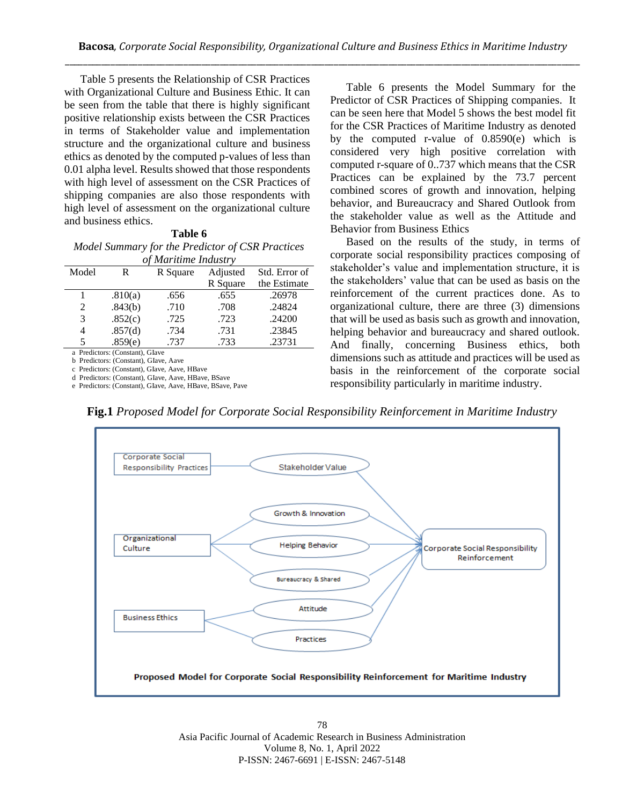Table 5 presents the Relationship of CSR Practices with Organizational Culture and Business Ethic. It can be seen from the table that there is highly significant positive relationship exists between the CSR Practices in terms of Stakeholder value and implementation structure and the organizational culture and business ethics as denoted by the computed p-values of less than 0.01 alpha level. Results showed that those respondents with high level of assessment on the CSR Practices of shipping companies are also those respondents with high level of assessment on the organizational culture and business ethics.

| Table 6                                             |
|-----------------------------------------------------|
| Model Summary for the Predictor of CSR Practices    |
| $\mathcal{L}$ M $\ldots$ $\ldots$ $\ldots$ $\ldots$ |

| of Maritime Industry        |         |          |          |               |  |
|-----------------------------|---------|----------|----------|---------------|--|
| Model                       | R       | R Square | Adjusted | Std. Error of |  |
|                             |         |          | R Square | the Estimate  |  |
|                             | .810(a) | .656     | .655     | .26978        |  |
| $\mathcal{D}_{\mathcal{L}}$ | .843(b) | .710     | .708     | .24824        |  |
| 3                           | .852(c) | .725     | .723     | .24200        |  |
| 4                           | .857(d) | .734     | .731     | .23845        |  |
| 5                           | .859(e) | .737     | .733     | .23731        |  |

a Predictors: (Constant), GIave

b Predictors: (Constant), GIave, Aave

c Predictors: (Constant), GIave, Aave, HBave d Predictors: (Constant), GIave, Aave, HBave, BSave

e Predictors: (Constant), GIave, Aave, HBave, BSave, Pave

Table 6 presents the Model Summary for the Predictor of CSR Practices of Shipping companies. It can be seen here that Model 5 shows the best model fit for the CSR Practices of Maritime Industry as denoted by the computed r-value of 0.8590(e) which is considered very high positive correlation with computed r-square of 0..737 which means that the CSR Practices can be explained by the 73.7 percent combined scores of growth and innovation, helping behavior, and Bureaucracy and Shared Outlook from the stakeholder value as well as the Attitude and Behavior from Business Ethics

Based on the results of the study, in terms of corporate social responsibility practices composing of stakeholder's value and implementation structure, it is the stakeholders' value that can be used as basis on the reinforcement of the current practices done. As to organizational culture, there are three (3) dimensions that will be used as basis such as growth and innovation, helping behavior and bureaucracy and shared outlook. And finally, concerning Business ethics, both dimensions such as attitude and practices will be used as basis in the reinforcement of the corporate social responsibility particularly in maritime industry.



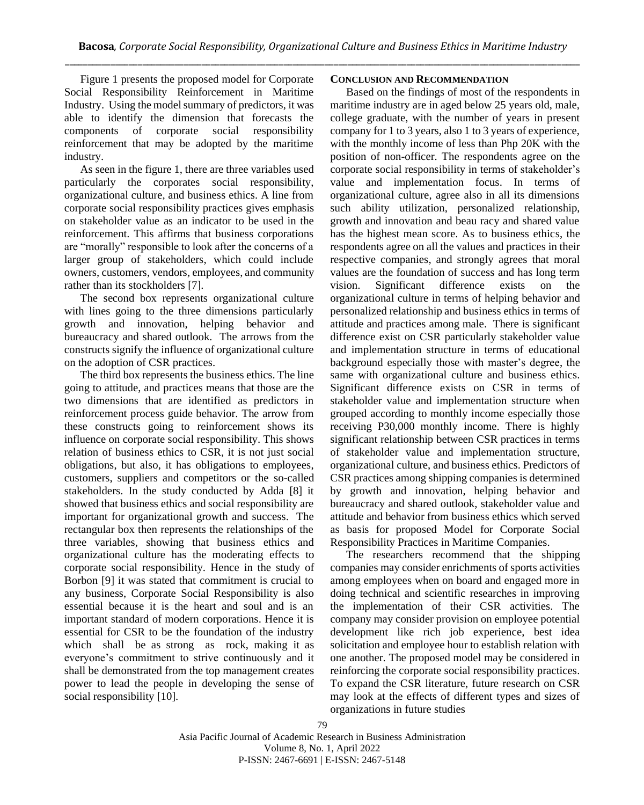Figure 1 presents the proposed model for Corporate Social Responsibility Reinforcement in Maritime Industry. Using the model summary of predictors, it was able to identify the dimension that forecasts the components of corporate social responsibility reinforcement that may be adopted by the maritime industry.

As seen in the figure 1, there are three variables used particularly the corporates social responsibility, organizational culture, and business ethics. A line from corporate social responsibility practices gives emphasis on stakeholder value as an indicator to be used in the reinforcement. This affirms that business corporations are "morally" responsible to look after the concerns of a larger group of stakeholders, which could include owners, customers, vendors, employees, and community rather than its stockholders [7].

The second box represents organizational culture with lines going to the three dimensions particularly growth and innovation, helping behavior and bureaucracy and shared outlook. The arrows from the constructs signify the influence of organizational culture on the adoption of CSR practices.

The third box represents the business ethics. The line going to attitude, and practices means that those are the two dimensions that are identified as predictors in reinforcement process guide behavior. The arrow from these constructs going to reinforcement shows its influence on corporate social responsibility. This shows relation of business ethics to CSR, it is not just social obligations, but also, it has obligations to employees, customers, suppliers and competitors or the so-called stakeholders. In the study conducted by Adda [8] it showed that business ethics and social responsibility are important for organizational growth and success. The rectangular box then represents the relationships of the three variables, showing that business ethics and organizational culture has the moderating effects to corporate social responsibility. Hence in the study of Borbon [9] it was stated that commitment is crucial to any business, Corporate Social Responsibility is also essential because it is the heart and soul and is an important standard of modern corporations. Hence it is essential for CSR to be the foundation of the industry which shall be as strong as rock, making it as everyone's commitment to strive continuously and it shall be demonstrated from the top management creates power to lead the people in developing the sense of social responsibility [10].

## **CONCLUSION AND RECOMMENDATION**

Based on the findings of most of the respondents in maritime industry are in aged below 25 years old, male, college graduate, with the number of years in present company for 1 to 3 years, also 1 to 3 years of experience, with the monthly income of less than Php 20K with the position of non-officer. The respondents agree on the corporate social responsibility in terms of stakeholder's value and implementation focus. In terms of organizational culture, agree also in all its dimensions such ability utilization, personalized relationship, growth and innovation and beau racy and shared value has the highest mean score. As to business ethics, the respondents agree on all the values and practices in their respective companies, and strongly agrees that moral values are the foundation of success and has long term vision. Significant difference exists on the organizational culture in terms of helping behavior and personalized relationship and business ethics in terms of attitude and practices among male. There is significant difference exist on CSR particularly stakeholder value and implementation structure in terms of educational background especially those with master's degree, the same with organizational culture and business ethics. Significant difference exists on CSR in terms of stakeholder value and implementation structure when grouped according to monthly income especially those receiving P30,000 monthly income. There is highly significant relationship between CSR practices in terms of stakeholder value and implementation structure, organizational culture, and business ethics. Predictors of CSR practices among shipping companies is determined by growth and innovation, helping behavior and bureaucracy and shared outlook, stakeholder value and attitude and behavior from business ethics which served as basis for proposed Model for Corporate Social Responsibility Practices in Maritime Companies.

The researchers recommend that the shipping companies may consider enrichments of sports activities among employees when on board and engaged more in doing technical and scientific researches in improving the implementation of their CSR activities. The company may consider provision on employee potential development like rich job experience, best idea solicitation and employee hour to establish relation with one another. The proposed model may be considered in reinforcing the corporate social responsibility practices. To expand the CSR literature, future research on CSR may look at the effects of different types and sizes of organizations in future studies

Asia Pacific Journal of Academic Research in Business Administration Volume 8, No. 1, April 2022 P-ISSN: 2467-6691 | E-ISSN: 2467-5148